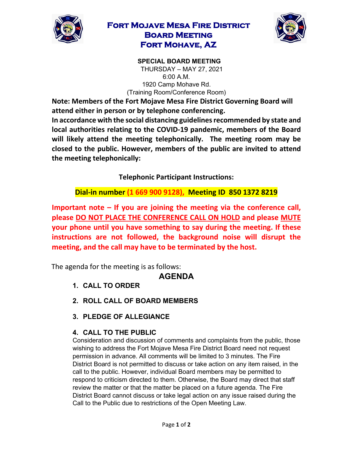

## **Fort Mojave Mesa Fire District Board Meeting Fort Mohave, AZ**



**SPECIAL BOARD MEETING**  THURSDAY – MAY 27, 2021 6:00 A.M. 1920 Camp Mohave Rd. (Training Room/Conference Room)

**Note: Members of the Fort Mojave Mesa Fire District Governing Board will attend either in person or by telephone conferencing.** 

**In accordance with the social distancing guidelines recommended by state and local authorities relating to the COVID-19 pandemic, members of the Board will likely attend the meeting telephonically. The meeting room may be closed to the public. However, members of the public are invited to attend the meeting telephonically:** 

**Telephonic Participant Instructions:**

**Dial-in number (1 669 900 9128), Meeting ID 850 1372 8219** 

**Important note – If you are joining the meeting via the conference call, please DO NOT PLACE THE CONFERENCE CALL ON HOLD and please MUTE your phone until you have something to say during the meeting. If these instructions are not followed, the background noise will disrupt the meeting, and the call may have to be terminated by the host.**

The agenda for the meeting is as follows:

## **AGENDA**

- **1. CALL TO ORDER**
- **2. ROLL CALL OF BOARD MEMBERS**
- **3. PLEDGE OF ALLEGIANCE**

## **4. CALL TO THE PUBLIC**

Consideration and discussion of comments and complaints from the public, those wishing to address the Fort Mojave Mesa Fire District Board need not request permission in advance. All comments will be limited to 3 minutes. The Fire District Board is not permitted to discuss or take action on any item raised, in the call to the public. However, individual Board members may be permitted to respond to criticism directed to them. Otherwise, the Board may direct that staff review the matter or that the matter be placed on a future agenda. The Fire District Board cannot discuss or take legal action on any issue raised during the Call to the Public due to restrictions of the Open Meeting Law.